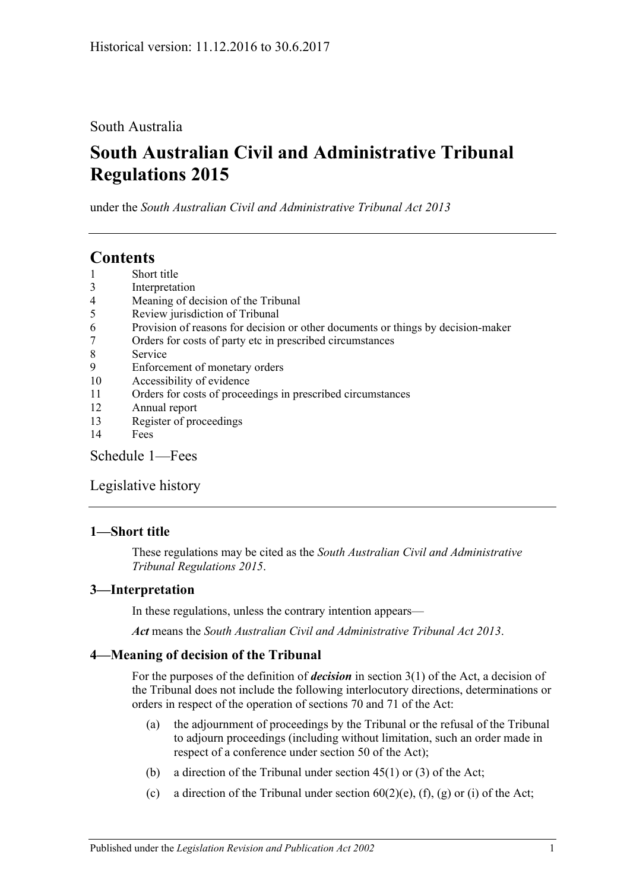## South Australia

# **South Australian Civil and Administrative Tribunal Regulations 2015**

under the *South Australian Civil and Administrative Tribunal Act 2013*

# **Contents**

- 1 [Short title](#page-0-0)
- 3 [Interpretation](#page-0-1)
- 4 [Meaning of decision of the Tribunal](#page-0-2)
- 5 [Review jurisdiction of Tribunal](#page-1-0)
- 6 [Provision of reasons for decision or other documents or things by decision-maker](#page-2-0)
- 7 [Orders for costs of party etc in prescribed circumstances](#page-2-1)
- 8 [Service](#page-2-2)
- 9 [Enforcement of monetary orders](#page-3-0)
- 10 [Accessibility of evidence](#page-3-1)
- 11 [Orders for costs of proceedings in prescribed circumstances](#page-4-0)
- 12 [Annual report](#page-4-1)
- 13 [Register of proceedings](#page-4-2)
- 14 [Fees](#page-5-0)

[Schedule](#page-7-0) 1—Fees

[Legislative history](#page-9-0)

## <span id="page-0-0"></span>**1—Short title**

These regulations may be cited as the *South Australian Civil and Administrative Tribunal Regulations 2015*.

## <span id="page-0-1"></span>**3—Interpretation**

In these regulations, unless the contrary intention appears—

*Act* means the *[South Australian Civil and Administrative Tribunal Act](http://www.legislation.sa.gov.au/index.aspx?action=legref&type=act&legtitle=South%20Australian%20Civil%20and%20Administrative%20Tribunal%20Act%202013) 2013*.

## <span id="page-0-2"></span>**4—Meaning of decision of the Tribunal**

For the purposes of the definition of *decision* in section 3(1) of the Act, a decision of the Tribunal does not include the following interlocutory directions, determinations or orders in respect of the operation of sections 70 and 71 of the Act:

- (a) the adjournment of proceedings by the Tribunal or the refusal of the Tribunal to adjourn proceedings (including without limitation, such an order made in respect of a conference under section 50 of the Act);
- (b) a direction of the Tribunal under section  $45(1)$  or  $(3)$  of the Act;
- (c) a direction of the Tribunal under section  $60(2)$ (e), (f), (g) or (i) of the Act;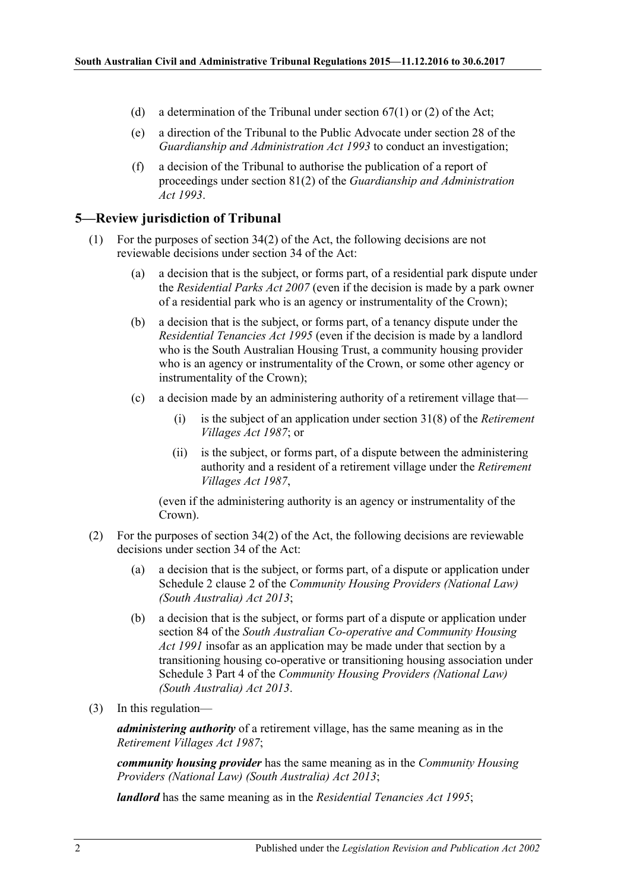- (d) a determination of the Tribunal under section  $67(1)$  or (2) of the Act;
- (e) a direction of the Tribunal to the Public Advocate under section 28 of the *[Guardianship and Administration Act](http://www.legislation.sa.gov.au/index.aspx?action=legref&type=act&legtitle=Guardianship%20and%20Administration%20Act%201993) 1993* to conduct an investigation;
- (f) a decision of the Tribunal to authorise the publication of a report of proceedings under section 81(2) of the *[Guardianship and Administration](http://www.legislation.sa.gov.au/index.aspx?action=legref&type=act&legtitle=Guardianship%20and%20Administration%20Act%201993)  Act [1993](http://www.legislation.sa.gov.au/index.aspx?action=legref&type=act&legtitle=Guardianship%20and%20Administration%20Act%201993)*.

#### <span id="page-1-0"></span>**5—Review jurisdiction of Tribunal**

- (1) For the purposes of section 34(2) of the Act, the following decisions are not reviewable decisions under section 34 of the Act:
	- (a) a decision that is the subject, or forms part, of a residential park dispute under the *[Residential Parks Act](http://www.legislation.sa.gov.au/index.aspx?action=legref&type=act&legtitle=Residential%20Parks%20Act%202007) 2007* (even if the decision is made by a park owner of a residential park who is an agency or instrumentality of the Crown);
	- (b) a decision that is the subject, or forms part, of a tenancy dispute under the *[Residential Tenancies Act](http://www.legislation.sa.gov.au/index.aspx?action=legref&type=act&legtitle=Residential%20Tenancies%20Act%201995) 1995* (even if the decision is made by a landlord who is the South Australian Housing Trust, a community housing provider who is an agency or instrumentality of the Crown, or some other agency or instrumentality of the Crown);
	- (c) a decision made by an administering authority of a retirement village that—
		- (i) is the subject of an application under section 31(8) of the *[Retirement](http://www.legislation.sa.gov.au/index.aspx?action=legref&type=act&legtitle=Retirement%20Villages%20Act%201987)  [Villages Act](http://www.legislation.sa.gov.au/index.aspx?action=legref&type=act&legtitle=Retirement%20Villages%20Act%201987) 1987*; or
		- (ii) is the subject, or forms part, of a dispute between the administering authority and a resident of a retirement village under the *[Retirement](http://www.legislation.sa.gov.au/index.aspx?action=legref&type=act&legtitle=Retirement%20Villages%20Act%201987)  [Villages Act](http://www.legislation.sa.gov.au/index.aspx?action=legref&type=act&legtitle=Retirement%20Villages%20Act%201987) 1987*,

(even if the administering authority is an agency or instrumentality of the Crown).

- (2) For the purposes of section 34(2) of the Act, the following decisions are reviewable decisions under section 34 of the Act:
	- (a) a decision that is the subject, or forms part, of a dispute or application under Schedule 2 clause 2 of the *[Community Housing Providers \(National Law\)](http://www.legislation.sa.gov.au/index.aspx?action=legref&type=act&legtitle=Community%20Housing%20Providers%20(National%20Law)%20(South%20Australia)%20Act%202013)  [\(South Australia\) Act](http://www.legislation.sa.gov.au/index.aspx?action=legref&type=act&legtitle=Community%20Housing%20Providers%20(National%20Law)%20(South%20Australia)%20Act%202013) 2013*;
	- (b) a decision that is the subject, or forms part of a dispute or application under section 84 of the *[South Australian Co-operative and Community Housing](http://www.legislation.sa.gov.au/index.aspx?action=legref&type=act&legtitle=South%20Australian%20Co-operative%20and%20Community%20Housing%20Act%201991)  Act [1991](http://www.legislation.sa.gov.au/index.aspx?action=legref&type=act&legtitle=South%20Australian%20Co-operative%20and%20Community%20Housing%20Act%201991)* insofar as an application may be made under that section by a transitioning housing co-operative or transitioning housing association under Schedule 3 Part 4 of the *[Community Housing Providers \(National Law\)](http://www.legislation.sa.gov.au/index.aspx?action=legref&type=act&legtitle=Community%20Housing%20Providers%20(National%20Law)%20(South%20Australia)%20Act%202013)  [\(South Australia\) Act](http://www.legislation.sa.gov.au/index.aspx?action=legref&type=act&legtitle=Community%20Housing%20Providers%20(National%20Law)%20(South%20Australia)%20Act%202013) 2013*.
- (3) In this regulation—

*administering authority* of a retirement village, has the same meaning as in the *[Retirement Villages Act](http://www.legislation.sa.gov.au/index.aspx?action=legref&type=act&legtitle=Retirement%20Villages%20Act%201987) 1987*;

*community housing provider* has the same meaning as in the *[Community Housing](http://www.legislation.sa.gov.au/index.aspx?action=legref&type=act&legtitle=Community%20Housing%20Providers%20(National%20Law)%20(South%20Australia)%20Act%202013)  [Providers \(National Law\) \(South Australia\) Act](http://www.legislation.sa.gov.au/index.aspx?action=legref&type=act&legtitle=Community%20Housing%20Providers%20(National%20Law)%20(South%20Australia)%20Act%202013) 2013*;

*landlord* has the same meaning as in the *[Residential Tenancies Act](http://www.legislation.sa.gov.au/index.aspx?action=legref&type=act&legtitle=Residential%20Tenancies%20Act%201995) 1995*;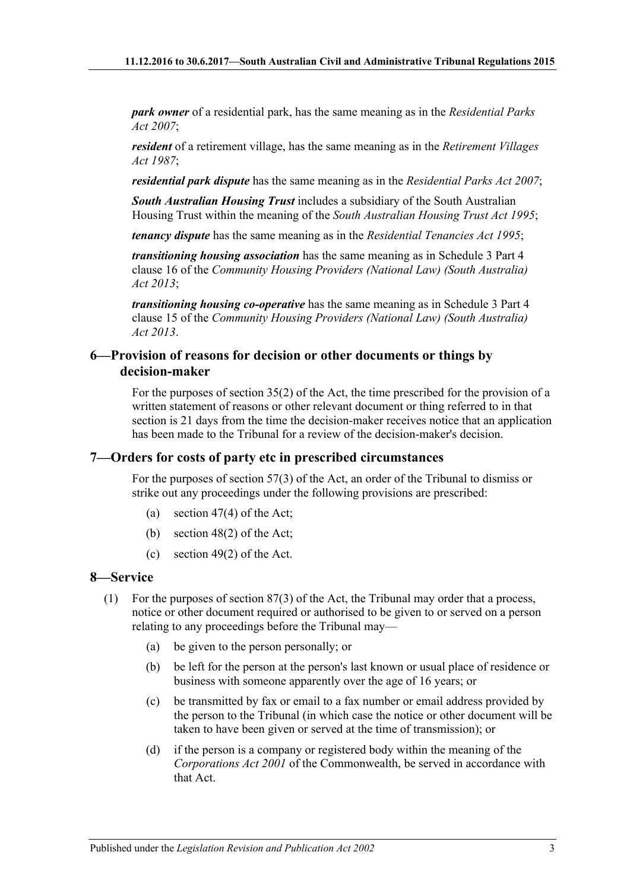*park owner* of a residential park, has the same meaning as in the *[Residential Parks](http://www.legislation.sa.gov.au/index.aspx?action=legref&type=act&legtitle=Residential%20Parks%20Act%202007)  Act [2007](http://www.legislation.sa.gov.au/index.aspx?action=legref&type=act&legtitle=Residential%20Parks%20Act%202007)*;

*resident* of a retirement village, has the same meaning as in the *[Retirement Villages](http://www.legislation.sa.gov.au/index.aspx?action=legref&type=act&legtitle=Retirement%20Villages%20Act%201987)  Act [1987](http://www.legislation.sa.gov.au/index.aspx?action=legref&type=act&legtitle=Retirement%20Villages%20Act%201987)*;

*residential park dispute* has the same meaning as in the *[Residential Parks Act](http://www.legislation.sa.gov.au/index.aspx?action=legref&type=act&legtitle=Residential%20Parks%20Act%202007) 2007*;

*South Australian Housing Trust* includes a subsidiary of the South Australian Housing Trust within the meaning of the *[South Australian Housing Trust Act](http://www.legislation.sa.gov.au/index.aspx?action=legref&type=act&legtitle=South%20Australian%20Housing%20Trust%20Act%201995) 1995*;

*tenancy dispute* has the same meaning as in the *[Residential Tenancies Act](http://www.legislation.sa.gov.au/index.aspx?action=legref&type=act&legtitle=Residential%20Tenancies%20Act%201995) 1995*;

*transitioning housing association* has the same meaning as in Schedule 3 Part 4 clause 16 of the *[Community Housing Providers \(National Law\) \(South Australia\)](http://www.legislation.sa.gov.au/index.aspx?action=legref&type=act&legtitle=Community%20Housing%20Providers%20(National%20Law)%20(South%20Australia)%20Act%202013)  Act [2013](http://www.legislation.sa.gov.au/index.aspx?action=legref&type=act&legtitle=Community%20Housing%20Providers%20(National%20Law)%20(South%20Australia)%20Act%202013)*;

*transitioning housing co-operative* has the same meaning as in Schedule 3 Part 4 clause 15 of the *[Community Housing Providers \(National Law\) \(South Australia\)](http://www.legislation.sa.gov.au/index.aspx?action=legref&type=act&legtitle=Community%20Housing%20Providers%20(National%20Law)%20(South%20Australia)%20Act%202013)  Act [2013](http://www.legislation.sa.gov.au/index.aspx?action=legref&type=act&legtitle=Community%20Housing%20Providers%20(National%20Law)%20(South%20Australia)%20Act%202013)*.

#### <span id="page-2-0"></span>**6—Provision of reasons for decision or other documents or things by decision-maker**

For the purposes of section 35(2) of the Act, the time prescribed for the provision of a written statement of reasons or other relevant document or thing referred to in that section is 21 days from the time the decision-maker receives notice that an application has been made to the Tribunal for a review of the decision-maker's decision.

#### <span id="page-2-1"></span>**7—Orders for costs of party etc in prescribed circumstances**

For the purposes of section 57(3) of the Act, an order of the Tribunal to dismiss or strike out any proceedings under the following provisions are prescribed:

- (a) section 47(4) of the Act;
- (b) section 48(2) of the Act;
- (c) section 49(2) of the Act.

### <span id="page-2-2"></span>**8—Service**

- (1) For the purposes of section 87(3) of the Act, the Tribunal may order that a process, notice or other document required or authorised to be given to or served on a person relating to any proceedings before the Tribunal may—
	- (a) be given to the person personally; or
	- (b) be left for the person at the person's last known or usual place of residence or business with someone apparently over the age of 16 years; or
	- (c) be transmitted by fax or email to a fax number or email address provided by the person to the Tribunal (in which case the notice or other document will be taken to have been given or served at the time of transmission); or
	- (d) if the person is a company or registered body within the meaning of the *Corporations Act 2001* of the Commonwealth, be served in accordance with that Act.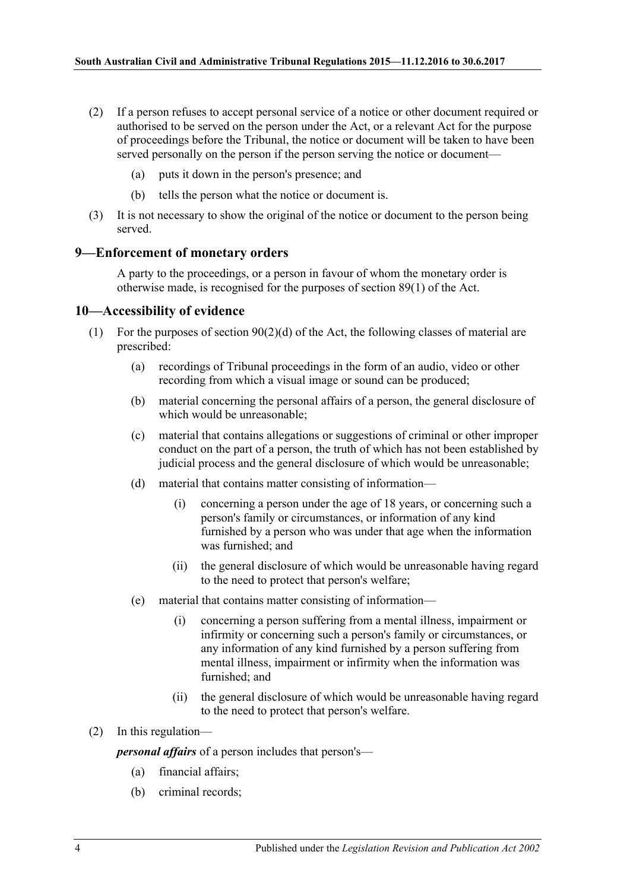- (2) If a person refuses to accept personal service of a notice or other document required or authorised to be served on the person under the Act, or a relevant Act for the purpose of proceedings before the Tribunal, the notice or document will be taken to have been served personally on the person if the person serving the notice or document—
	- (a) puts it down in the person's presence; and
	- (b) tells the person what the notice or document is.
- (3) It is not necessary to show the original of the notice or document to the person being served.

#### <span id="page-3-0"></span>**9—Enforcement of monetary orders**

A party to the proceedings, or a person in favour of whom the monetary order is otherwise made, is recognised for the purposes of section 89(1) of the Act.

#### <span id="page-3-1"></span>**10—Accessibility of evidence**

- (1) For the purposes of section 90(2)(d) of the Act, the following classes of material are prescribed:
	- (a) recordings of Tribunal proceedings in the form of an audio, video or other recording from which a visual image or sound can be produced;
	- (b) material concerning the personal affairs of a person, the general disclosure of which would be unreasonable;
	- (c) material that contains allegations or suggestions of criminal or other improper conduct on the part of a person, the truth of which has not been established by judicial process and the general disclosure of which would be unreasonable;
	- (d) material that contains matter consisting of information—
		- (i) concerning a person under the age of 18 years, or concerning such a person's family or circumstances, or information of any kind furnished by a person who was under that age when the information was furnished; and
		- (ii) the general disclosure of which would be unreasonable having regard to the need to protect that person's welfare;
	- (e) material that contains matter consisting of information—
		- (i) concerning a person suffering from a mental illness, impairment or infirmity or concerning such a person's family or circumstances, or any information of any kind furnished by a person suffering from mental illness, impairment or infirmity when the information was furnished; and
		- (ii) the general disclosure of which would be unreasonable having regard to the need to protect that person's welfare.

#### (2) In this regulation—

*personal affairs* of a person includes that person's—

- (a) financial affairs;
- (b) criminal records;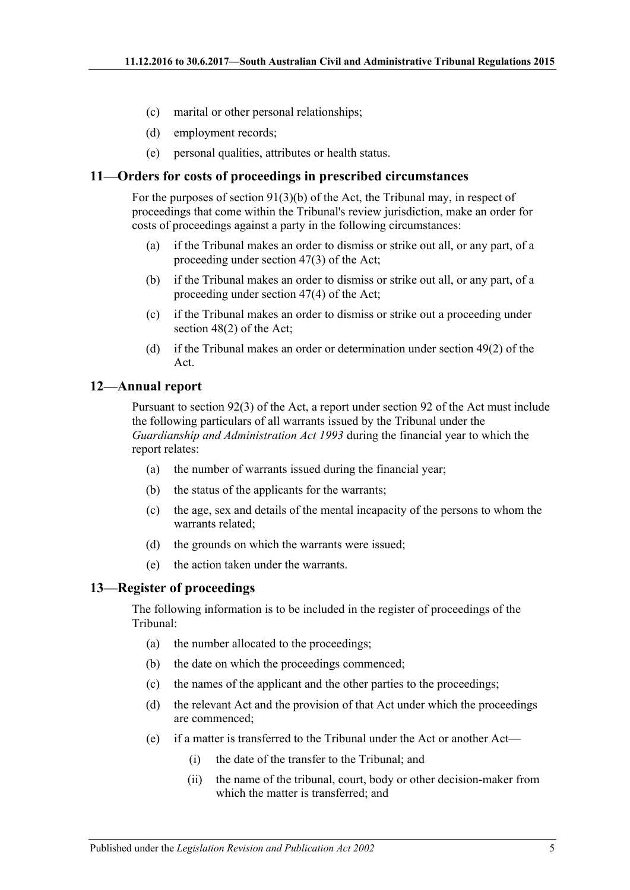- (c) marital or other personal relationships;
- (d) employment records;
- (e) personal qualities, attributes or health status.

#### <span id="page-4-0"></span>**11—Orders for costs of proceedings in prescribed circumstances**

For the purposes of section 91(3)(b) of the Act, the Tribunal may, in respect of proceedings that come within the Tribunal's review jurisdiction, make an order for costs of proceedings against a party in the following circumstances:

- (a) if the Tribunal makes an order to dismiss or strike out all, or any part, of a proceeding under section 47(3) of the Act;
- (b) if the Tribunal makes an order to dismiss or strike out all, or any part, of a proceeding under section 47(4) of the Act;
- (c) if the Tribunal makes an order to dismiss or strike out a proceeding under section 48(2) of the Act;
- (d) if the Tribunal makes an order or determination under section 49(2) of the Act.

#### <span id="page-4-1"></span>**12—Annual report**

Pursuant to section 92(3) of the Act, a report under section 92 of the Act must include the following particulars of all warrants issued by the Tribunal under the *[Guardianship and Administration Act](http://www.legislation.sa.gov.au/index.aspx?action=legref&type=act&legtitle=Guardianship%20and%20Administration%20Act%201993) 1993* during the financial year to which the report relates:

- (a) the number of warrants issued during the financial year;
- (b) the status of the applicants for the warrants;
- (c) the age, sex and details of the mental incapacity of the persons to whom the warrants related;
- (d) the grounds on which the warrants were issued;
- (e) the action taken under the warrants.

#### <span id="page-4-2"></span>**13—Register of proceedings**

The following information is to be included in the register of proceedings of the Tribunal:

- (a) the number allocated to the proceedings;
- (b) the date on which the proceedings commenced;
- (c) the names of the applicant and the other parties to the proceedings;
- (d) the relevant Act and the provision of that Act under which the proceedings are commenced;
- (e) if a matter is transferred to the Tribunal under the Act or another Act—
	- (i) the date of the transfer to the Tribunal; and
	- (ii) the name of the tribunal, court, body or other decision-maker from which the matter is transferred; and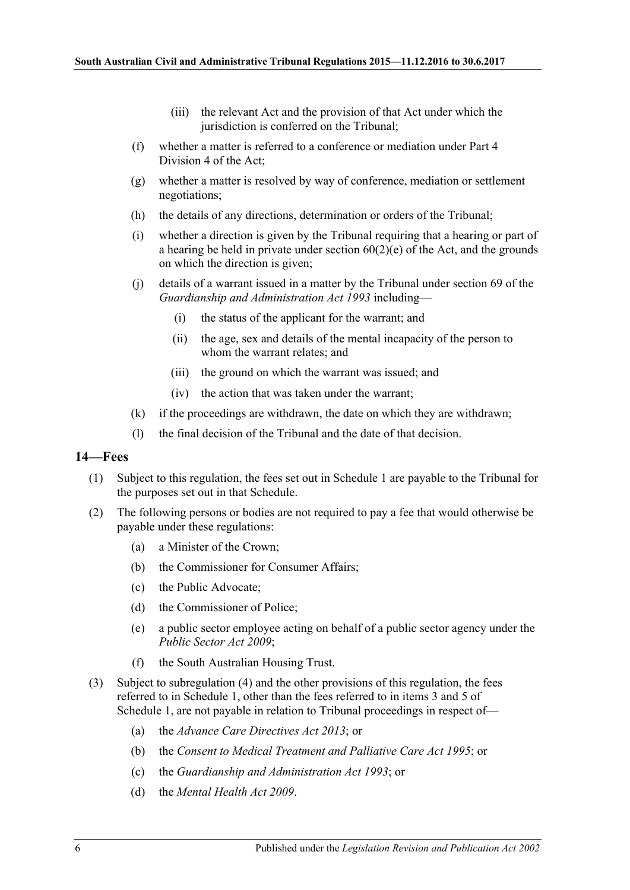- (iii) the relevant Act and the provision of that Act under which the jurisdiction is conferred on the Tribunal;
- (f) whether a matter is referred to a conference or mediation under Part 4 Division 4 of the Act;
- (g) whether a matter is resolved by way of conference, mediation or settlement negotiations;
- (h) the details of any directions, determination or orders of the Tribunal;
- (i) whether a direction is given by the Tribunal requiring that a hearing or part of a hearing be held in private under section  $60(2)(e)$  of the Act, and the grounds on which the direction is given;
- (j) details of a warrant issued in a matter by the Tribunal under section 69 of the *[Guardianship and Administration Act](http://www.legislation.sa.gov.au/index.aspx?action=legref&type=act&legtitle=Guardianship%20and%20Administration%20Act%201993) 1993* including—
	- (i) the status of the applicant for the warrant; and
	- (ii) the age, sex and details of the mental incapacity of the person to whom the warrant relates; and
	- (iii) the ground on which the warrant was issued; and
	- (iv) the action that was taken under the warrant;
- (k) if the proceedings are withdrawn, the date on which they are withdrawn;
- (l) the final decision of the Tribunal and the date of that decision.

#### <span id="page-5-0"></span>**14—Fees**

- (1) Subject to this regulation, the fees set out in Schedule 1 are payable to the Tribunal for the purposes set out in that Schedule.
- (2) The following persons or bodies are not required to pay a fee that would otherwise be payable under these regulations:
	- (a) a Minister of the Crown;
	- (b) the Commissioner for Consumer Affairs;
	- (c) the Public Advocate;
	- (d) the Commissioner of Police;
	- (e) a public sector employee acting on behalf of a public sector agency under the *[Public Sector Act](http://www.legislation.sa.gov.au/index.aspx?action=legref&type=act&legtitle=Public%20Sector%20Act%202009) 2009*;
	- (f) the South Australian Housing Trust.
- (3) Subject to [subregulation](#page-6-0) (4) and the other provisions of this regulation, the fees referred to in Schedule 1, other than the fees referred to in items 3 and 5 of Schedule 1, are not payable in relation to Tribunal proceedings in respect of—
	- (a) the *[Advance Care Directives Act](http://www.legislation.sa.gov.au/index.aspx?action=legref&type=act&legtitle=Advance%20Care%20Directives%20Act%202013) 2013*; or
	- (b) the *[Consent to Medical Treatment and Palliative Care Act](http://www.legislation.sa.gov.au/index.aspx?action=legref&type=act&legtitle=Consent%20to%20Medical%20Treatment%20and%20Palliative%20Care%20Act%201995) 1995*; or
	- (c) the *[Guardianship and Administration Act](http://www.legislation.sa.gov.au/index.aspx?action=legref&type=act&legtitle=Guardianship%20and%20Administration%20Act%201993) 1993*; or
	- (d) the *[Mental Health Act](http://www.legislation.sa.gov.au/index.aspx?action=legref&type=act&legtitle=Mental%20Health%20Act%202009) 2009*.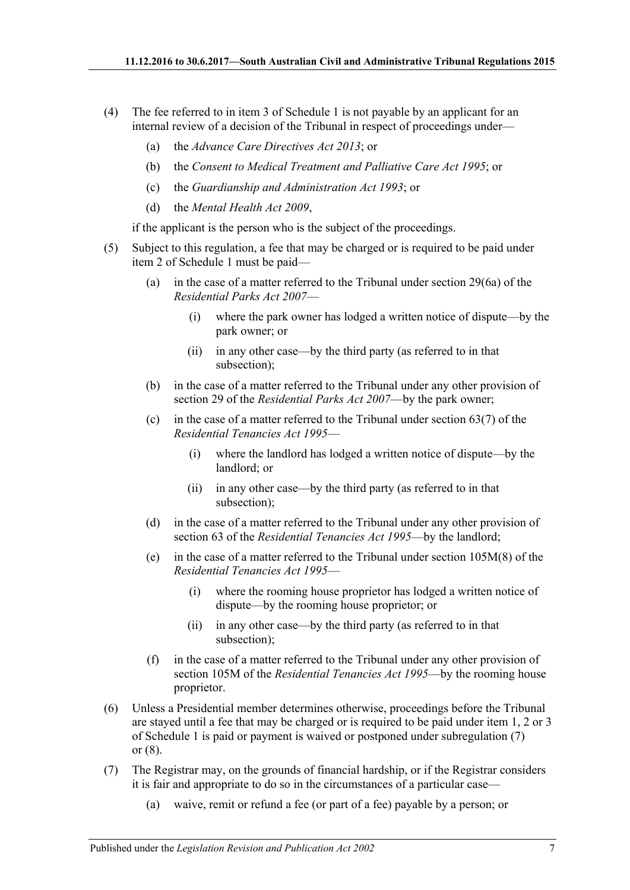- <span id="page-6-0"></span>(4) The fee referred to in item 3 of Schedule 1 is not payable by an applicant for an internal review of a decision of the Tribunal in respect of proceedings under—
	- (a) the *[Advance Care Directives Act](http://www.legislation.sa.gov.au/index.aspx?action=legref&type=act&legtitle=Advance%20Care%20Directives%20Act%202013) 2013*; or
	- (b) the *[Consent to Medical Treatment and Palliative Care Act](http://www.legislation.sa.gov.au/index.aspx?action=legref&type=act&legtitle=Consent%20to%20Medical%20Treatment%20and%20Palliative%20Care%20Act%201995) 1995*; or
	- (c) the *[Guardianship and Administration Act](http://www.legislation.sa.gov.au/index.aspx?action=legref&type=act&legtitle=Guardianship%20and%20Administration%20Act%201993) 1993*; or
	- (d) the *[Mental Health Act](http://www.legislation.sa.gov.au/index.aspx?action=legref&type=act&legtitle=Mental%20Health%20Act%202009) 2009*,

if the applicant is the person who is the subject of the proceedings.

- (5) Subject to this regulation, a fee that may be charged or is required to be paid under item 2 of Schedule 1 must be paid—
	- (a) in the case of a matter referred to the Tribunal under section 29(6a) of the *[Residential Parks Act](http://www.legislation.sa.gov.au/index.aspx?action=legref&type=act&legtitle=Residential%20Parks%20Act%202007) 2007*—
		- (i) where the park owner has lodged a written notice of dispute—by the park owner; or
		- (ii) in any other case—by the third party (as referred to in that subsection);
	- (b) in the case of a matter referred to the Tribunal under any other provision of section 29 of the *[Residential Parks Act](http://www.legislation.sa.gov.au/index.aspx?action=legref&type=act&legtitle=Residential%20Parks%20Act%202007) 2007*—by the park owner;
	- (c) in the case of a matter referred to the Tribunal under section  $63(7)$  of the *[Residential Tenancies Act](http://www.legislation.sa.gov.au/index.aspx?action=legref&type=act&legtitle=Residential%20Tenancies%20Act%201995) 1995*—
		- (i) where the landlord has lodged a written notice of dispute—by the landlord; or
		- (ii) in any other case—by the third party (as referred to in that subsection);
	- (d) in the case of a matter referred to the Tribunal under any other provision of section 63 of the *[Residential Tenancies Act](http://www.legislation.sa.gov.au/index.aspx?action=legref&type=act&legtitle=Residential%20Tenancies%20Act%201995) 1995*—by the landlord;
	- (e) in the case of a matter referred to the Tribunal under section 105M(8) of the *[Residential Tenancies Act](http://www.legislation.sa.gov.au/index.aspx?action=legref&type=act&legtitle=Residential%20Tenancies%20Act%201995) 1995*—
		- (i) where the rooming house proprietor has lodged a written notice of dispute—by the rooming house proprietor; or
		- (ii) in any other case—by the third party (as referred to in that subsection);
	- (f) in the case of a matter referred to the Tribunal under any other provision of section 105M of the *[Residential Tenancies Act](http://www.legislation.sa.gov.au/index.aspx?action=legref&type=act&legtitle=Residential%20Tenancies%20Act%201995) 1995*—by the rooming house proprietor.
- (6) Unless a Presidential member determines otherwise, proceedings before the Tribunal are stayed until a fee that may be charged or is required to be paid under item 1, 2 or 3 of Schedule 1 is paid or payment is waived or postponed under [subregulation](#page-6-1) (7) or [\(8\).](#page-7-1)
- <span id="page-6-1"></span>(7) The Registrar may, on the grounds of financial hardship, or if the Registrar considers it is fair and appropriate to do so in the circumstances of a particular case—
	- (a) waive, remit or refund a fee (or part of a fee) payable by a person; or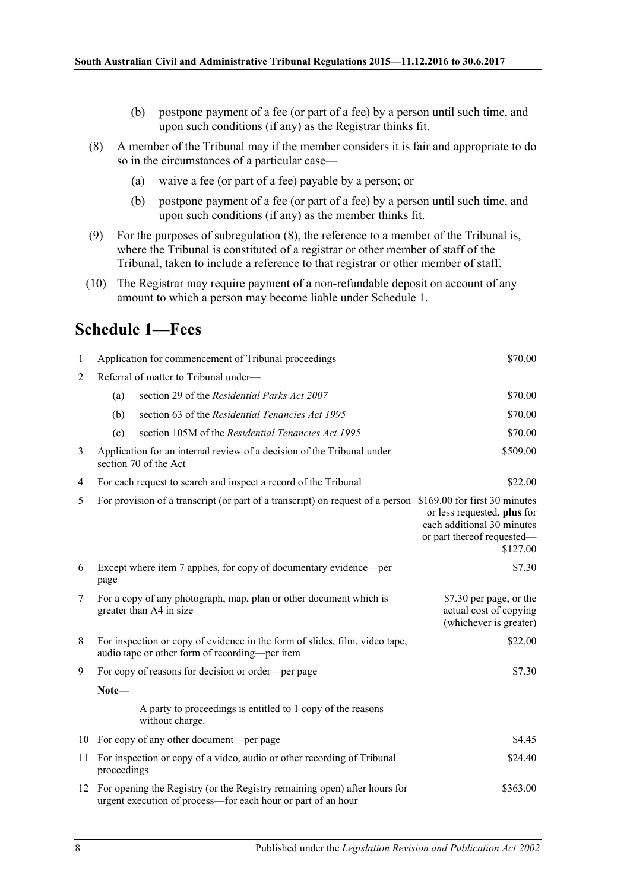- (b) postpone payment of a fee (or part of a fee) by a person until such time, and upon such conditions (if any) as the Registrar thinks fit.
- <span id="page-7-1"></span>(8) A member of the Tribunal may if the member considers it is fair and appropriate to do so in the circumstances of a particular case—
	- (a) waive a fee (or part of a fee) payable by a person; or
	- (b) postpone payment of a fee (or part of a fee) by a person until such time, and upon such conditions (if any) as the member thinks fit.
- (9) For the purposes of [subregulation](#page-7-1) (8), the reference to a member of the Tribunal is, where the Tribunal is constituted of a registrar or other member of staff of the Tribunal, taken to include a reference to that registrar or other member of staff.
- (10) The Registrar may require payment of a non-refundable deposit on account of any amount to which a person may become liable under Schedule 1.

# <span id="page-7-0"></span>**Schedule 1—Fees**

| 1              |                                                                                                             | Application for commencement of Tribunal proceedings                                                                                         | \$70.00                                                                                             |  |
|----------------|-------------------------------------------------------------------------------------------------------------|----------------------------------------------------------------------------------------------------------------------------------------------|-----------------------------------------------------------------------------------------------------|--|
| $\overline{2}$ | Referral of matter to Tribunal under-                                                                       |                                                                                                                                              |                                                                                                     |  |
|                | (a)                                                                                                         | section 29 of the Residential Parks Act 2007                                                                                                 | \$70.00                                                                                             |  |
|                | (b)                                                                                                         | section 63 of the Residential Tenancies Act 1995                                                                                             | \$70.00                                                                                             |  |
|                | (c)                                                                                                         | section 105M of the Residential Tenancies Act 1995                                                                                           | \$70.00                                                                                             |  |
| 3              | \$509.00<br>Application for an internal review of a decision of the Tribunal under<br>section 70 of the Act |                                                                                                                                              |                                                                                                     |  |
| 4              | \$22.00<br>For each request to search and inspect a record of the Tribunal                                  |                                                                                                                                              |                                                                                                     |  |
| 5              |                                                                                                             | For provision of a transcript (or part of a transcript) on request of a person \$169.00 for first 30 minutes                                 | or less requested, plus for<br>each additional 30 minutes<br>or part thereof requested-<br>\$127.00 |  |
| 6              | Except where item 7 applies, for copy of documentary evidence—per<br>page                                   |                                                                                                                                              | \$7.30                                                                                              |  |
| 7              |                                                                                                             | For a copy of any photograph, map, plan or other document which is<br>greater than A4 in size                                                | \$7.30 per page, or the<br>actual cost of copying<br>(whichever is greater)                         |  |
| 8              |                                                                                                             | For inspection or copy of evidence in the form of slides, film, video tape,<br>audio tape or other form of recording-per item                | \$22.00                                                                                             |  |
| 9              |                                                                                                             | For copy of reasons for decision or order—per page                                                                                           | \$7.30                                                                                              |  |
|                | Note-                                                                                                       |                                                                                                                                              |                                                                                                     |  |
|                |                                                                                                             | A party to proceedings is entitled to 1 copy of the reasons<br>without charge.                                                               |                                                                                                     |  |
|                |                                                                                                             | 10 For copy of any other document—per page                                                                                                   | \$4.45                                                                                              |  |
| 11             | proceedings                                                                                                 | For inspection or copy of a video, audio or other recording of Tribunal                                                                      | \$24.40                                                                                             |  |
|                |                                                                                                             | 12 For opening the Registry (or the Registry remaining open) after hours for<br>urgent execution of process—for each hour or part of an hour | \$363.00                                                                                            |  |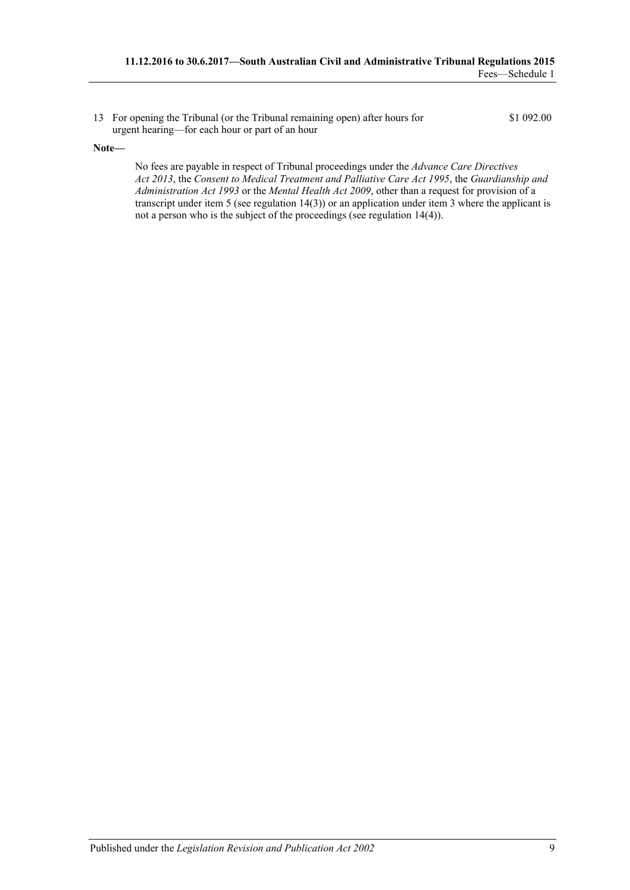13 For opening the Tribunal (or the Tribunal remaining open) after hours for urgent hearing—for each hour or part of an hour

#### **Note—**

No fees are payable in respect of Tribunal proceedings under the *[Advance Care Directives](http://www.legislation.sa.gov.au/index.aspx?action=legref&type=act&legtitle=Advance%20Care%20Directives%20Act%202013)  Act [2013](http://www.legislation.sa.gov.au/index.aspx?action=legref&type=act&legtitle=Advance%20Care%20Directives%20Act%202013)*, the *[Consent to Medical Treatment and Palliative Care Act](http://www.legislation.sa.gov.au/index.aspx?action=legref&type=act&legtitle=Consent%20to%20Medical%20Treatment%20and%20Palliative%20Care%20Act%201995) 1995*, the *[Guardianship and](http://www.legislation.sa.gov.au/index.aspx?action=legref&type=act&legtitle=Guardianship%20and%20Administration%20Act%201993)  [Administration Act](http://www.legislation.sa.gov.au/index.aspx?action=legref&type=act&legtitle=Guardianship%20and%20Administration%20Act%201993) 1993* or the *[Mental Health Act](http://www.legislation.sa.gov.au/index.aspx?action=legref&type=act&legtitle=Mental%20Health%20Act%202009) 2009*, other than a request for provision of a transcript under item 5 (see regulation 14(3)) or an application under item 3 where the applicant is not a person who is the subject of the proceedings (see regulation 14(4)).

\$1 092.00